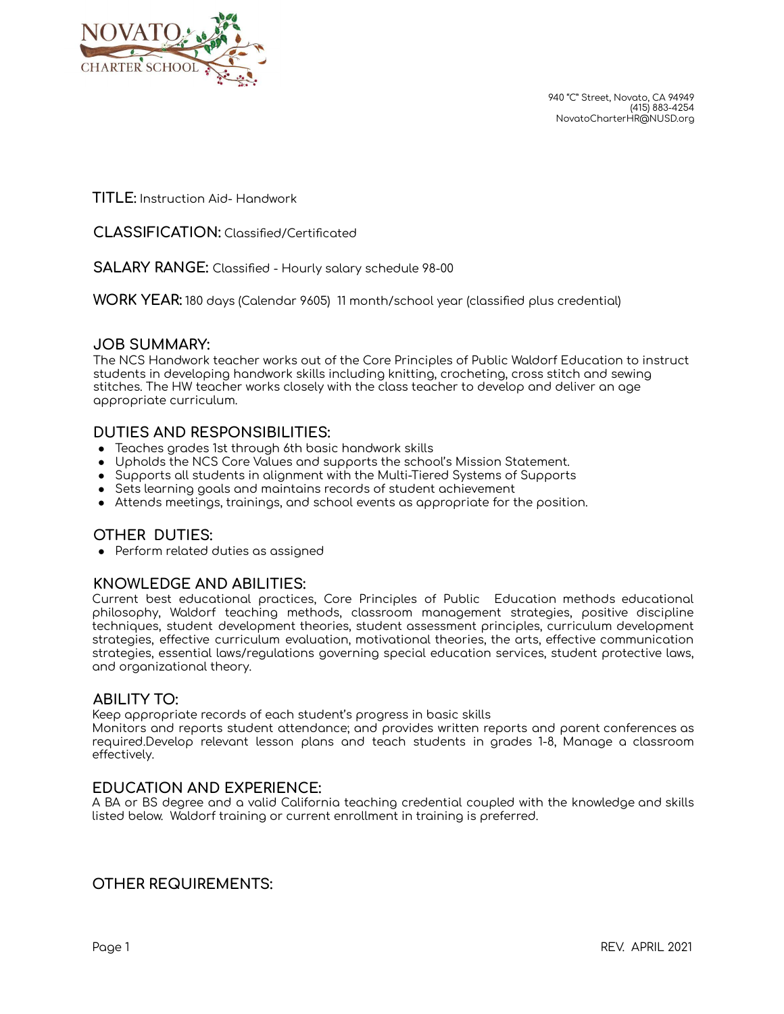

940 "C" Street, Novato, CA 94949 (415) 883-4254 NovatoCharterHR@NUSD.org

**TITLE:** Instruction Aid- Handwork

**CLASSIFICATION:** Classified/Certificated

**SALARY RANGE:** Classified - Hourly salary schedule 98-00

**WORK YEAR:** 180 days (Calendar 9605) 11 month/school year (classified plus credential)

#### **JOB SUMMARY:**

The NCS Handwork teacher works out of the Core Principles of Public Waldorf Education to instruct students in developing handwork skills including knitting, crocheting, cross stitch and sewing stitches. The HW teacher works closely with the class teacher to develop and deliver an age appropriate curriculum.

## **DUTIES AND RESPONSIBILITIES:**

- Teaches grades 1st through 6th basic handwork skills
- Upholds the NCS Core Values and supports the school's Mission Statement.
- Supports all students in alignment with the Multi-Tiered Systems of Supports
- Sets learning goals and maintains records of student achievement
- Attends meetings, trainings, and school events as appropriate for the position.

## **OTHER DUTIES:**

● Perform related duties as assigned

## **KNOWLEDGE AND ABILITIES:**

Current best educational practices, Core Principles of Public Education methods educational philosophy, Waldorf teaching methods, classroom management strategies, positive discipline techniques, student development theories, student assessment principles, curriculum development strategies, effective curriculum evaluation, motivational theories, the arts, effective communication strategies, essential laws/regulations governing special education services, student protective laws, and organizational theory.

#### **ABILITY TO:**

Keep appropriate records of each student's progress in basic skills

Monitors and reports student attendance; and provides written reports and parent conferences as required.Develop relevant lesson plans and teach students in grades 1-8, Manage a classroom effectively.

#### **EDUCATION AND EXPERIENCE:**

A BA or BS degree and a valid California teaching credential coupled with the knowledge and skills listed below. Waldorf training or current enrollment in training is preferred.

#### **OTHER REQUIREMENTS:**